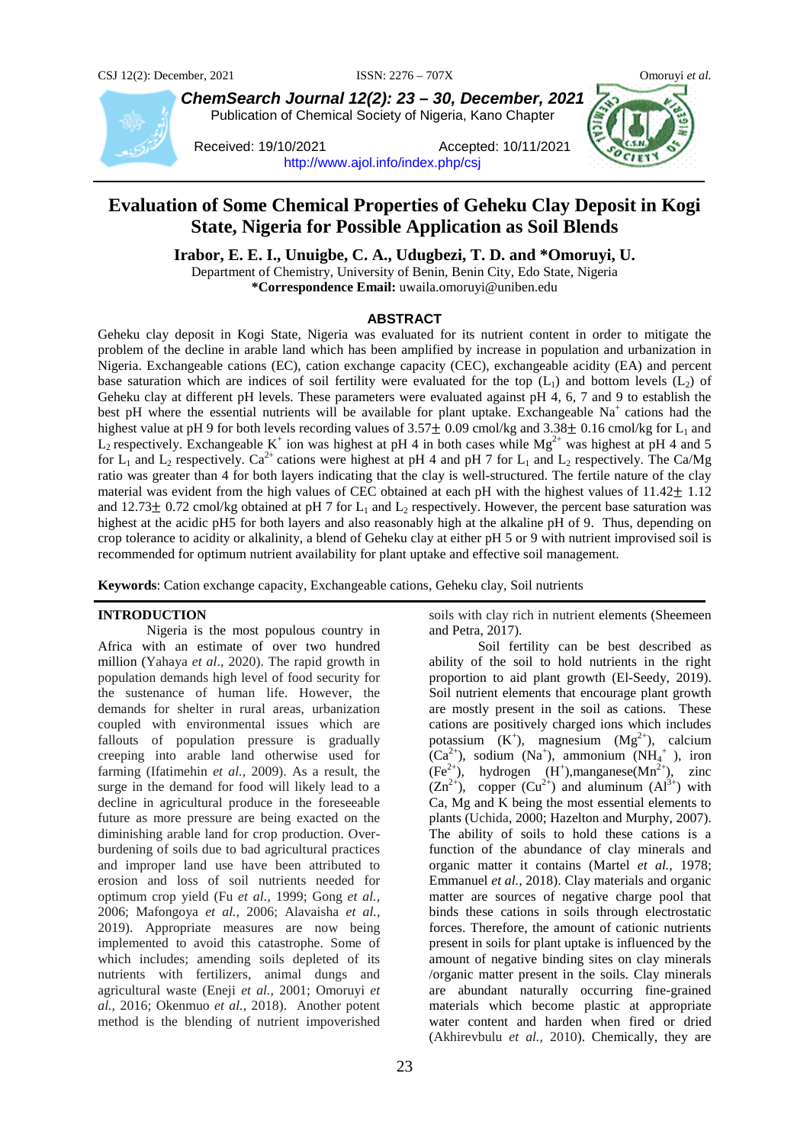

*ChemSearch Journal 12(2): 23 – 30, December, 2021* Publication of Chemical Society of Nigeria, Kano Chapter

Received: 19/10/2021 Accepted: 10/11/2021 <http://www.ajol.info/index.php/csj>



# **Evaluation of Some Chemical Properties of Geheku Clay Deposit in Kogi State, Nigeria for Possible Application as Soil Blends**

**Irabor, E. E. I., Unuigbe, C. A., Udugbezi, T. D. and \*Omoruyi, U.**

Department of Chemistry, University of Benin, Benin City, Edo State, Nigeria **\*Correspondence Email:** uwaila.omoruyi@uniben.edu

#### **ABSTRACT**

Geheku clay deposit in Kogi State, Nigeria was evaluated for its nutrient content in order to mitigate the problem of the decline in arable land which has been amplified by increase in population and urbanization in Nigeria. Exchangeable cations (EC), cation exchange capacity (CEC), exchangeable acidity (EA) and percent base saturation which are indices of soil fertility were evaluated for the top  $(L_1)$  and bottom levels  $(L_2)$  of Geheku clay at different pH levels. These parameters were evaluated against pH 4, 6, 7 and 9 to establish the best pH where the essential nutrients will be available for plant uptake. Exchangeable  $Na<sup>+</sup>$  cations had the highest value at pH 9 for both levels recording values of  $3.57\pm$  0.09 cmol/kg and  $3.38\pm$  0.16 cmol/kg for L<sub>1</sub> and  $L_2$  respectively. Exchangeable K<sup>+</sup> ion was highest at pH 4 in both cases while Mg<sup>2+</sup> was highest at pH 4 and 5 for  $L_1$  and  $L_2$  respectively. Ca<sup>2+</sup> cations were highest at pH 4 and pH 7 for  $L_1$  and  $L_2$  respectively. The Ca/Mg ratio was greater than 4 for both layers indicating that the clay is well-structured. The fertile nature of the clay material was evident from the high values of CEC obtained at each pH with the highest values of  $11.42 \pm 1.12$ and 12.73 $\pm$  0.72 cmol/kg obtained at pH 7 for L<sub>1</sub> and L<sub>2</sub> respectively. However, the percent base saturation was highest at the acidic pH5 for both layers and also reasonably high at the alkaline pH of 9. Thus, depending on crop tolerance to acidity or alkalinity, a blend of Geheku clay at either pH 5 or 9 with nutrient improvised soil is recommended for optimum nutrient availability for plant uptake and effective soil management.

**Keywords**: Cation exchange capacity, Exchangeable cations, Geheku clay, Soil nutrients

#### **INTRODUCTION**

Nigeria is the most populous country in Africa with an estimate of over two hundred million (Yahaya *et al*., 2020). The rapid growth in population demands high level of food security for the sustenance of human life. However, the demands for shelter in rural areas, urbanization coupled with environmental issues which are fallouts of population pressure is gradually creeping into arable land otherwise used for farming (Ifatimehin *et al.,* 2009). As a result, the surge in the demand for food will likely lead to a decline in agricultural produce in the foreseeable future as more pressure are being exacted on the diminishing arable land for crop production. Overburdening of soils due to bad agricultural practices and improper land use have been attributed to erosion and loss of soil nutrients needed for optimum crop yield (Fu *et al.,* 1999; Gong *et al.,* 2006; Mafongoya *et al.,* 2006; Alavaisha *et al.,* 2019). Appropriate measures are now being implemented to avoid this catastrophe. Some of which includes; amending soils depleted of its nutrients with fertilizers, animal dungs and agricultural waste (Eneji *et al.,* 2001; Omoruyi *et al.,* 2016; Okenmuo *et al.,* 2018). Another potent method is the blending of nutrient impoverished

soils with clay rich in nutrient elements (Sheemeen and Petra, 2017).

Soil fertility can be best described as ability of the soil to hold nutrients in the right proportion to aid plant growth (El-Seedy, 2019). Soil nutrient elements that encourage plant growth are mostly present in the soil as cations. These cations are positively charged ions which includes potassium  $(K^+)$ , magnesium  $(Mg^{2+})$ , calcium  $(Ca^{2+})$ , sodium (Na<sup>+</sup>), ammonium (NH<sub>4</sub><sup>+</sup>), iron  $(Fe<sup>2+</sup>)$ , hydrogen  $(H<sup>+</sup>)$ , manganese $(Mn<sup>2+</sup>)$ , zinc  $(Zn^{2+})$ , copper  $(Cu^{2+})$  and aluminum  $(A1^{3+})$  with Ca, Mg and K being the most essential elements to plants (Uchida, 2000; Hazelton and Murphy, 2007). The ability of soils to hold these cations is a function of the abundance of clay minerals and organic matter it contains (Martel *et al.,* 1978; Emmanuel *et al.,* 2018). Clay materials and organic matter are sources of negative charge pool that binds these cations in soils through electrostatic forces. Therefore, the amount of cationic nutrients present in soils for plant uptake is influenced by the amount of negative binding sites on clay minerals /organic matter present in the soils. Clay minerals are abundant naturally occurring fine-grained materials which become plastic at appropriate water content and harden when fired or dried (Akhirevbulu *et al.,* 2010). Chemically, they are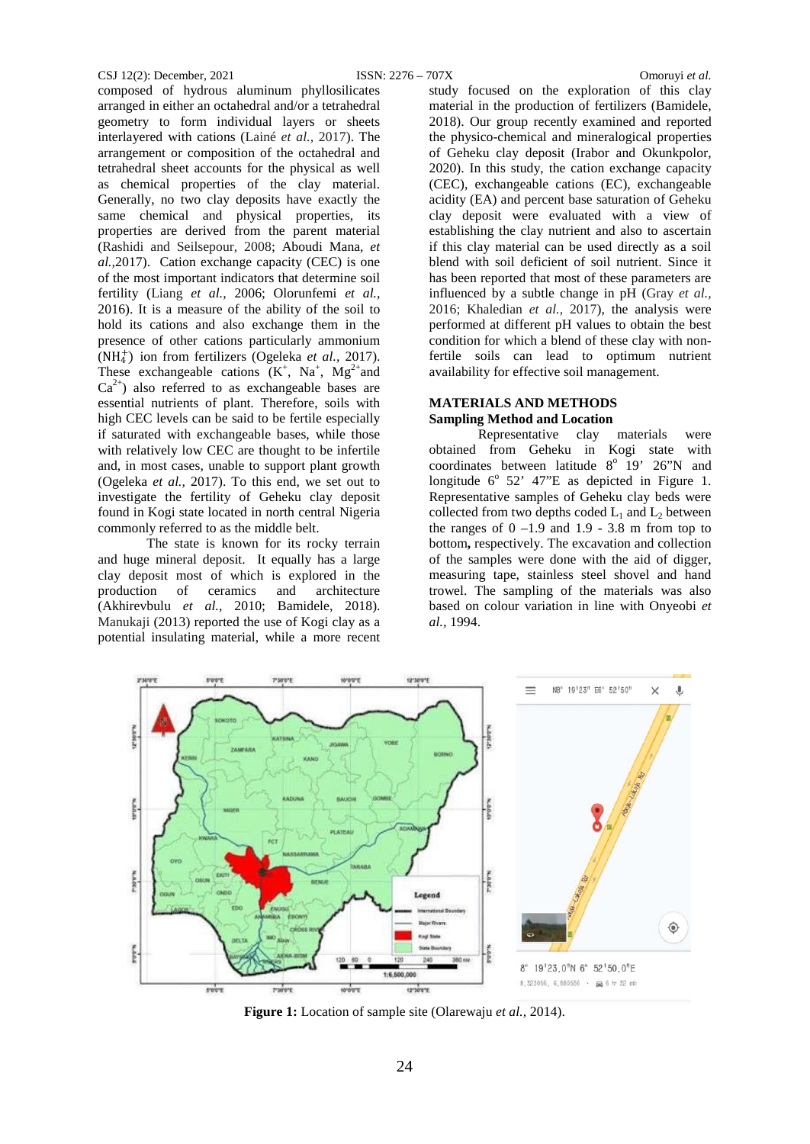#### CSJ 12(2): December, 2021 ISSN: 2276 – 707X Omoruyi *et al.*

composed of hydrous aluminum phyllosilicates arranged in either an octahedral and/or a tetrahedral geometry to form individual layers or sheets interlayered with cations (Lainé *et al.,* 2017). The arrangement or composition of the octahedral and tetrahedral sheet accounts for the physical as well as chemical properties of the clay material. Generally, no two clay deposits have exactly the same chemical and physical properties, its properties are derived from the parent material (Rashidi and Seilsepour, 2008; Aboudi Mana, *et al.,*2017). Cation exchange capacity (CEC) is one of the most important indicators that determine soil fertility (Liang *et al.,* 2006; Olorunfemi *et al.,*  2016). It is a measure of the ability of the soil to hold its cations and also exchange them in the presence of other cations particularly ammonium  $(NH<sub>4</sub><sup>+</sup>)$  ion from fertilizers (Ogeleka *et al.*, 2017). These exchangeable cations  $(K^+, Na^+, Mg^{2+}$  and  $Ca^{2+}$ ) also referred to as exchangeable bases are essential nutrients of plant. Therefore, soils with high CEC levels can be said to be fertile especially if saturated with exchangeable bases, while those with relatively low CEC are thought to be infertile and, in most cases, unable to support plant growth (Ogeleka *et al.,* 2017). To this end, we set out to investigate the fertility of Geheku clay deposit found in Kogi state located in north central Nigeria commonly referred to as the middle belt.

The state is known for its rocky terrain and huge mineral deposit. It equally has a large clay deposit most of which is explored in the production of ceramics and architecture (Akhirevbulu *et al.,* 2010; Bamidele, 2018). Manukaji (2013) reported the use of Kogi clay as a potential insulating material, while a more recent study focused on the exploration of this clay material in the production of fertilizers (Bamidele, 2018). Our group recently examined and reported the physico-chemical and mineralogical properties of Geheku clay deposit (Irabor and Okunkpolor, 2020). In this study, the cation exchange capacity (CEC), exchangeable cations (EC), exchangeable acidity (EA) and percent base saturation of Geheku clay deposit were evaluated with a view of establishing the clay nutrient and also to ascertain if this clay material can be used directly as a soil blend with soil deficient of soil nutrient. Since it has been reported that most of these parameters are influenced by a subtle change in pH (Gray *et al.,* 2016; Khaledian *et al.,* 2017), the analysis were performed at different pH values to obtain the best condition for which a blend of these clay with nonfertile soils can lead to optimum nutrient availability for effective soil management.

# **MATERIALS AND METHODS Sampling Method and Location**

Representative clay materials were obtained from Geheku in Kogi state with coordinates between latitude  $8^{\circ}$  19' 26"N and longitude  $6^{\circ}$  52' 47"E as depicted in Figure 1. Representative samples of Geheku clay beds were collected from two depths coded  $L_1$  and  $L_2$  between the ranges of  $0 -1.9$  and  $1.9 - 3.8$  m from top to bottom**,** respectively. The excavation and collection of the samples were done with the aid of digger, measuring tape, stainless steel shovel and hand trowel. The sampling of the materials was also based on colour variation in line with Onyeobi *et al.,* 1994.



**Figure 1:** Location of sample site (Olarewaju *et al.,* 2014).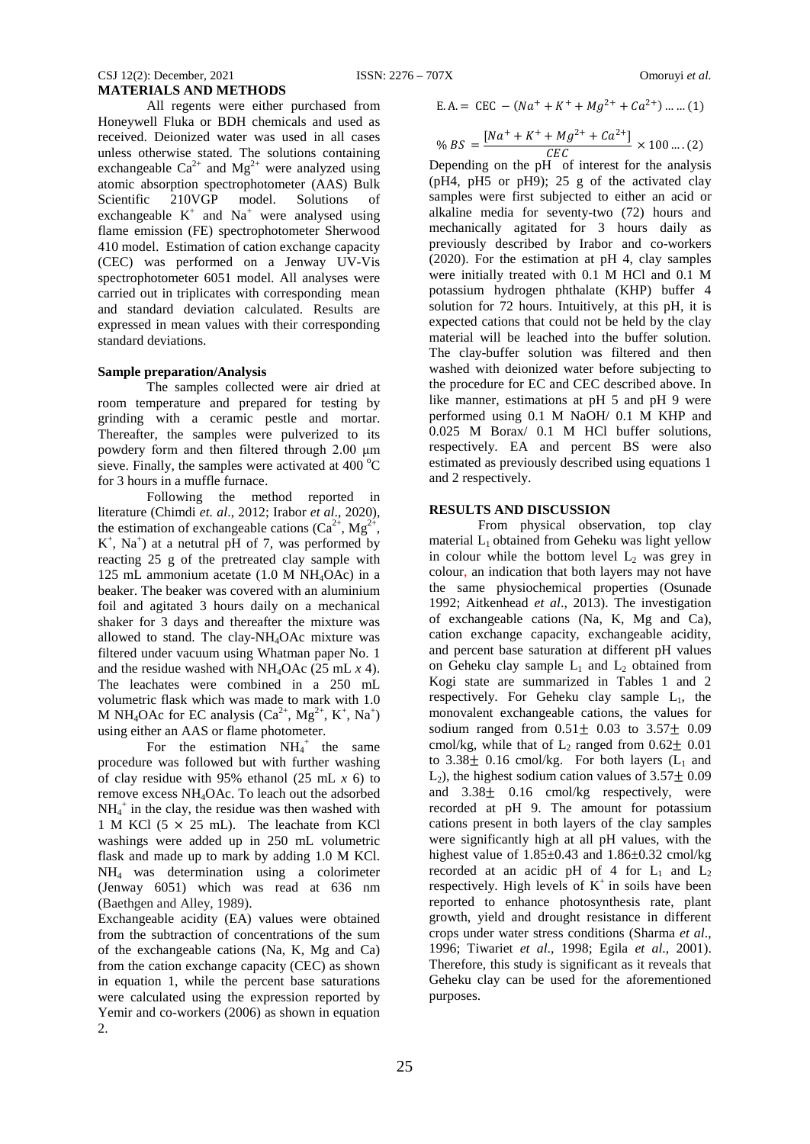# CSJ 12(2): December, 2021 ISSN: 2276 – 707X Omoruyi *et al.* **MATERIALS AND METHODS**

All regents were either purchased from Honeywell Fluka or BDH chemicals and used as received. Deionized water was used in all cases unless otherwise stated. The solutions containing exchangeable  $Ca^{2+}$  and  $Mg^{2+}$  were analyzed using atomic absorption spectrophotometer (AAS) Bulk<br>Scientific 210VGP model. Solutions of Solutions of exchangeable  $K^+$  and  $Na^+$  were analysed using flame emission (FE) spectrophotometer Sherwood 410 model. Estimation of cation exchange capacity (CEC) was performed on a Jenway UV-Vis spectrophotometer 6051 model. All analyses were carried out in triplicates with corresponding mean and standard deviation calculated. Results are expressed in mean values with their corresponding standard deviations.

## **Sample preparation/Analysis**

The samples collected were air dried at room temperature and prepared for testing by grinding with a ceramic pestle and mortar. Thereafter, the samples were pulverized to its powdery form and then filtered through 2.00 μm sieve. Finally, the samples were activated at  $400^{\circ}$ C for 3 hours in a muffle furnace.

Following the method reported in literature (Chimdi *et. al*., 2012; Irabor *et al*., 2020), the estimation of exchangeable cations  $(Ca^{2+}, Mg^{2+},$  $K^+$ , Na<sup>+</sup>) at a netutral pH of 7, was performed by reacting 25 g of the pretreated clay sample with 125 mL ammonium acetate (1.0 M NH4OAc) in a beaker. The beaker was covered with an aluminium foil and agitated 3 hours daily on a mechanical shaker for 3 days and thereafter the mixture was allowed to stand. The clay-NH4OAc mixture was filtered under vacuum using Whatman paper No. 1 and the residue washed with NH4OAc (25 mL *x* 4). The leachates were combined in a 250 mL volumetric flask which was made to mark with 1.0 M NH<sub>4</sub>OAc for EC analysis  $(Ca^{2+}, Mg^{2+}, K^+, Na^+)$ using either an AAS or flame photometer.

For the estimation  $NH_4^+$  the same procedure was followed but with further washing of clay residue with 95% ethanol (25 mL *x* 6) to remove excess NH4OAc. To leach out the adsorbed  $NH<sub>4</sub><sup>+</sup>$  in the clay, the residue was then washed with 1 M KCl ( $5 \times 25$  mL). The leachate from KCl washings were added up in 250 mL volumetric flask and made up to mark by adding 1.0 M KCl. NH4 was determination using a colorimeter (Jenway 6051) which was read at 636 nm (Baethgen and Alley, 1989).

Exchangeable acidity (EA) values were obtained from the subtraction of concentrations of the sum of the exchangeable cations (Na, K, Mg and Ca) from the cation exchange capacity (CEC) as shown in equation 1, while the percent base saturations were calculated using the expression reported by Yemir and co-workers (2006) as shown in equation 2.

$$
E.A. = CEC - (Na^{+} + K^{+} + Mg^{2+} + Ca^{2+}) \dots \dots (1)
$$

$$
\% BS = \frac{[Na^{+} + K^{+} + Mg^{2+} + Ca^{2+}]}{CEC} \times 100 \dots (2)
$$

 $\psi_0$  BS =  $\frac{CEC}{CEC}$  × 100 ....(2)<br>Depending on the pH of interest for the analysis (pH4, pH5 or pH9); 25 g of the activated clay samples were first subjected to either an acid or alkaline media for seventy-two (72) hours and mechanically agitated for 3 hours daily as previously described by Irabor and co-workers (2020). For the estimation at pH 4, clay samples were initially treated with 0.1 M HCl and 0.1 M potassium hydrogen phthalate (KHP) buffer 4 solution for 72 hours. Intuitively, at this pH, it is expected cations that could not be held by the clay material will be leached into the buffer solution. The clay-buffer solution was filtered and then washed with deionized water before subjecting to the procedure for EC and CEC described above. In like manner, estimations at pH 5 and pH 9 were performed using 0.1 M NaOH/ 0.1 M KHP and 0.025 M Borax/ 0.1 M HCl buffer solutions, respectively. EA and percent BS were also estimated as previously described using equations 1 and 2 respectively.

## **RESULTS AND DISCUSSION**

From physical observation, top clay material  $L_1$  obtained from Geheku was light yellow in colour while the bottom level  $L_2$  was grey in colour, an indication that both layers may not have the same physiochemical properties (Osunade 1992; Aitkenhead *et al*., 2013). The investigation of exchangeable cations (Na, K, Mg and Ca), cation exchange capacity, exchangeable acidity, and percent base saturation at different pH values on Geheku clay sample  $L_1$  and  $L_2$  obtained from Kogi state are summarized in Tables 1 and 2 respectively. For Geheku clay sample  $L_1$ , the monovalent exchangeable cations, the values for sodium ranged from  $0.51 \pm 0.03$  to  $3.57 \pm 0.09$ cmol/kg, while that of  $L_2$  ranged from  $0.62 \pm 0.01$ to  $3.38 \pm 0.16$  cmol/kg. For both layers ( $L_1$  and  $L_2$ ), the highest sodium cation values of  $3.57 \pm 0.09$ and 3.38± 0.16 cmol/kg respectively, were recorded at pH 9. The amount for potassium cations present in both layers of the clay samples were significantly high at all pH values, with the highest value of  $1.85 \pm 0.43$  and  $1.86 \pm 0.32$  cmol/kg recorded at an acidic pH of 4 for  $L_1$  and  $L_2$ respectively. High levels of  $K^+$  in soils have been reported to enhance photosynthesis rate, plant growth, yield and drought resistance in different crops under water stress conditions (Sharma *et al*., 1996; Tiwariet *et al*., 1998; Egila *et al*., 2001). Therefore, this study is significant as it reveals that Geheku clay can be used for the aforementioned purposes.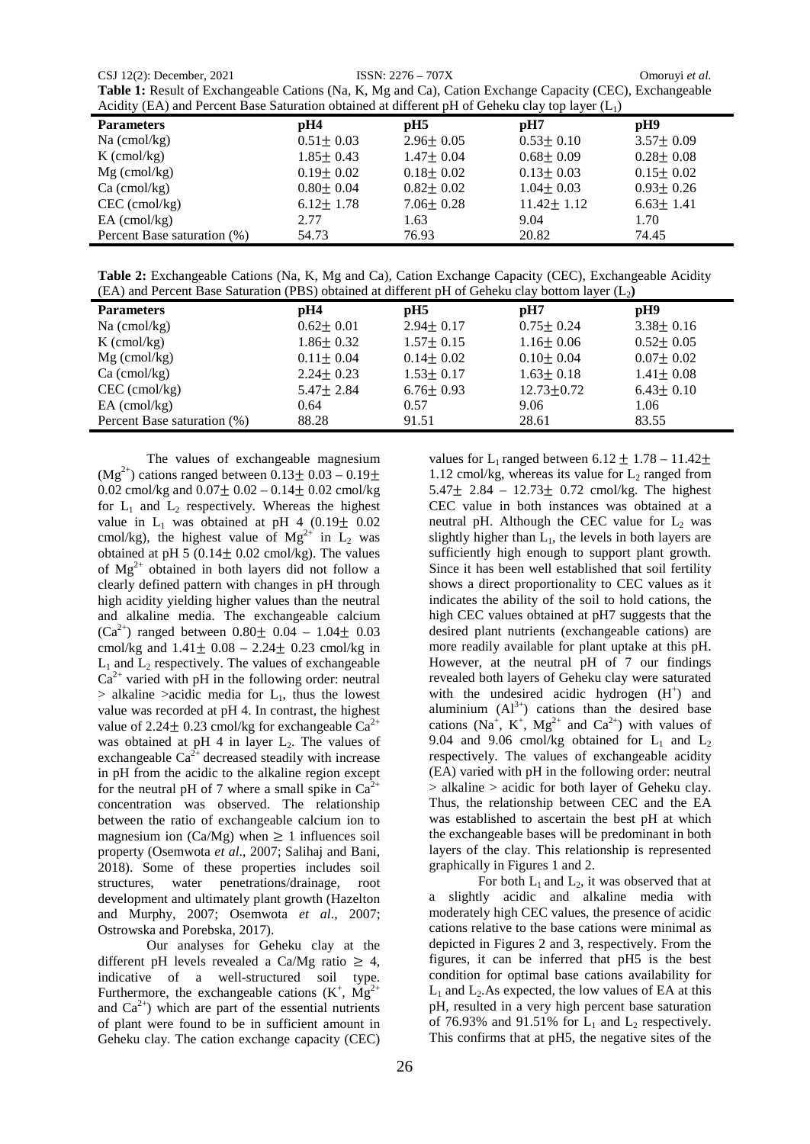CSJ 12(2): December, 2021 ISSN: 2276 – 707X Omoruyi *et al.* **Table 1:** Result of Exchangeable Cations (Na, K, Mg and Ca), Cation Exchange Capacity (CEC), Exchangeable Acidity (EA) and Percent Base Saturation obtained at different pH of Geheku clay top layer (L1)

| Actuity (EA) and Fercent Dase Saturation obtained at unferent pri or General Ciay top layer (E <sub>1</sub> ) |                 |                 |                  |                 |  |  |  |
|---------------------------------------------------------------------------------------------------------------|-----------------|-----------------|------------------|-----------------|--|--|--|
| <b>Parameters</b>                                                                                             | pH4             | $\mathbf{p}$ H5 | $\mathbf{p}$ H7  | pH9             |  |  |  |
| $Na$ (cmol/kg)                                                                                                | $0.51 \pm 0.03$ | $2.96 \pm 0.05$ | $0.53 \pm 0.10$  | $3.57 \pm 0.09$ |  |  |  |
| $K$ (cmol/kg)                                                                                                 | $1.85 \pm 0.43$ | $1.47 \pm 0.04$ | $0.68 \pm 0.09$  | $0.28 \pm 0.08$ |  |  |  |
| $Mg$ (cmol/kg)                                                                                                | $0.19 + 0.02$   | $0.18 \pm 0.02$ | $0.13 + 0.03$    | $0.15 \pm 0.02$ |  |  |  |
| $Ca$ (cmol/kg)                                                                                                | $0.80 \pm 0.04$ | $0.82 \pm 0.02$ | $1.04 \pm 0.03$  | $0.93 \pm 0.26$ |  |  |  |
| $CEC$ (cmol/kg)                                                                                               | $6.12 \pm 1.78$ | $7.06 \pm 0.28$ | $11.42 \pm 1.12$ | $6.63 \pm 1.41$ |  |  |  |
| $EA$ (cmol/kg)                                                                                                | 2.77            | 1.63            | 9.04             | 1.70            |  |  |  |
| Percent Base saturation (%)                                                                                   | 54.73           | 76.93           | 20.82            | 74.45           |  |  |  |

**Table 2:** Exchangeable Cations (Na, K, Mg and Ca), Cation Exchange Capacity (CEC), Exchangeable Acidity (EA) and Percent Base Saturation (PBS) obtained at different pH of Geheku clay bottom layer  $(L<sub>2</sub>)$ 

| <b>Parameters</b>           | pH4             | pH5             | $\mathbf{p}$ H7 | pH9             |
|-----------------------------|-----------------|-----------------|-----------------|-----------------|
| $Na$ (cmol/kg)              | $0.62 \pm 0.01$ | $2.94 + 0.17$   | $0.75 \pm 0.24$ | $3.38 \pm 0.16$ |
| $K$ (cmol/kg)               | $1.86 \pm 0.32$ | $1.57 + 0.15$   | $1.16 \pm 0.06$ | $0.52 \pm 0.05$ |
| $Mg$ (cmol/kg)              | $0.11 \pm 0.04$ | $0.14 \pm 0.02$ | $0.10 \pm 0.04$ | $0.07 \pm 0.02$ |
| $Ca$ (cmol/kg)              | $2.24 + 0.23$   | $1.53 \pm 0.17$ | $1.63 \pm 0.18$ | $1.41 \pm 0.08$ |
| $CEC$ (cmol/kg)             | $5.47 \pm 2.84$ | $6.76 \pm 0.93$ | $12.73 + 0.72$  | $6.43 \pm 0.10$ |
| $EA$ (cmol/kg)              | 0.64            | 0.57            | 9.06            | 1.06            |
| Percent Base saturation (%) | 88.28           | 91.51           | 28.61           | 83.55           |

The values of exchangeable magnesium  $(Mg<sup>2+</sup>)$  cations ranged between  $0.13 \pm 0.03 - 0.19 \pm 0.03$ 0.02 cmol/kg and  $0.07 \pm 0.02 - 0.14 \pm 0.02$  cmol/kg for  $L_1$  and  $L_2$  respectively. Whereas the highest value in  $L_1$  was obtained at pH 4 (0.19 $\pm$  0.02 cmol/kg), the highest value of  $Mg^{2+}$  in  $L_2$  was obtained at pH 5 (0.14 $\pm$  0.02 cmol/kg). The values of  $Mg^{2+}$  obtained in both layers did not follow a clearly defined pattern with changes in pH through high acidity yielding higher values than the neutral and alkaline media. The exchangeable calcium  $(Ca^{2+})$  ranged between  $0.80 \pm 0.04 - 1.04 \pm 0.03$ cmol/kg and  $1.41 \pm 0.08 - 2.24 \pm 0.23$  cmol/kg in  $L_1$  and  $L_2$  respectively. The values of exchangeable  $Ca^{2+}$  varied with pH in the following order: neutral  $>$  alkaline  $>$ acidic media for  $L_1$ , thus the lowest value was recorded at pH 4. In contrast, the highest value of 2.24 $\pm$  0.23 cmol/kg for exchangeable Ca<sup>2+</sup> was obtained at pH 4 in layer  $L_2$ . The values of exchangeable  $Ca^{2+}$  decreased steadily with increase in pH from the acidic to the alkaline region except for the neutral pH of 7 where a small spike in  $Ca^{2+}$ concentration was observed. The relationship between the ratio of exchangeable calcium ion to magnesium ion (Ca/Mg) when  $\geq 1$  influences soil property (Osemwota *et al*., 2007; Salihaj and Bani, 2018). Some of these properties includes soil structures, water penetrations/drainage, root development and ultimately plant growth (Hazelton and Murphy, 2007; Osemwota *et al*., 2007; Ostrowska and Porebska, 2017).

Our analyses for Geheku clay at the different pH levels revealed a Ca/Mg ratio  $\geq 4$ , indicative of a well-structured soil type. Furthermore, the exchangeable cations  $(K^+, Mg^{2+})$ and  $Ca^{2+}$ ) which are part of the essential nutrients of plant were found to be in sufficient amount in Geheku clay. The cation exchange capacity (CEC)

values for L<sub>1</sub> ranged between  $6.12 \pm 1.78 - 11.42 \pm 1.78$ 1.12 cmol/kg, whereas its value for  $L_2$  ranged from 5.47 $\pm$  2.84 – 12.73 $\pm$  0.72 cmol/kg. The highest CEC value in both instances was obtained at a neutral pH. Although the CEC value for  $L_2$  was slightly higher than  $L_1$ , the levels in both layers are sufficiently high enough to support plant growth. Since it has been well established that soil fertility shows a direct proportionality to CEC values as it indicates the ability of the soil to hold cations, the high CEC values obtained at pH7 suggests that the desired plant nutrients (exchangeable cations) are more readily available for plant uptake at this pH. However, at the neutral pH of 7 our findings revealed both layers of Geheku clay were saturated with the undesired acidic hydrogen  $(H<sup>+</sup>)$  and aluminium  $(AI^{3+})$  cations than the desired base cations (Na<sup>+</sup>, K<sup>+</sup>, Mg<sup>2+</sup> and Ca<sup>2+</sup>) with values of 9.04 and 9.06 cmol/kg obtained for  $L_1$  and  $L_2$ respectively. The values of exchangeable acidity (EA) varied with pH in the following order: neutral > alkaline > acidic for both layer of Geheku clay. Thus, the relationship between CEC and the EA was established to ascertain the best pH at which the exchangeable bases will be predominant in both layers of the clay. This relationship is represented graphically in Figures 1 and 2.

For both  $L_1$  and  $L_2$ , it was observed that at a slightly acidic and alkaline media with moderately high CEC values, the presence of acidic cations relative to the base cations were minimal as depicted in Figures 2 and 3, respectively. From the figures, it can be inferred that pH5 is the best condition for optimal base cations availability for  $L_1$  and  $L_2$ . As expected, the low values of EA at this pH, resulted in a very high percent base saturation of 76.93% and 91.51% for  $L_1$  and  $L_2$  respectively. This confirms that at pH5, the negative sites of the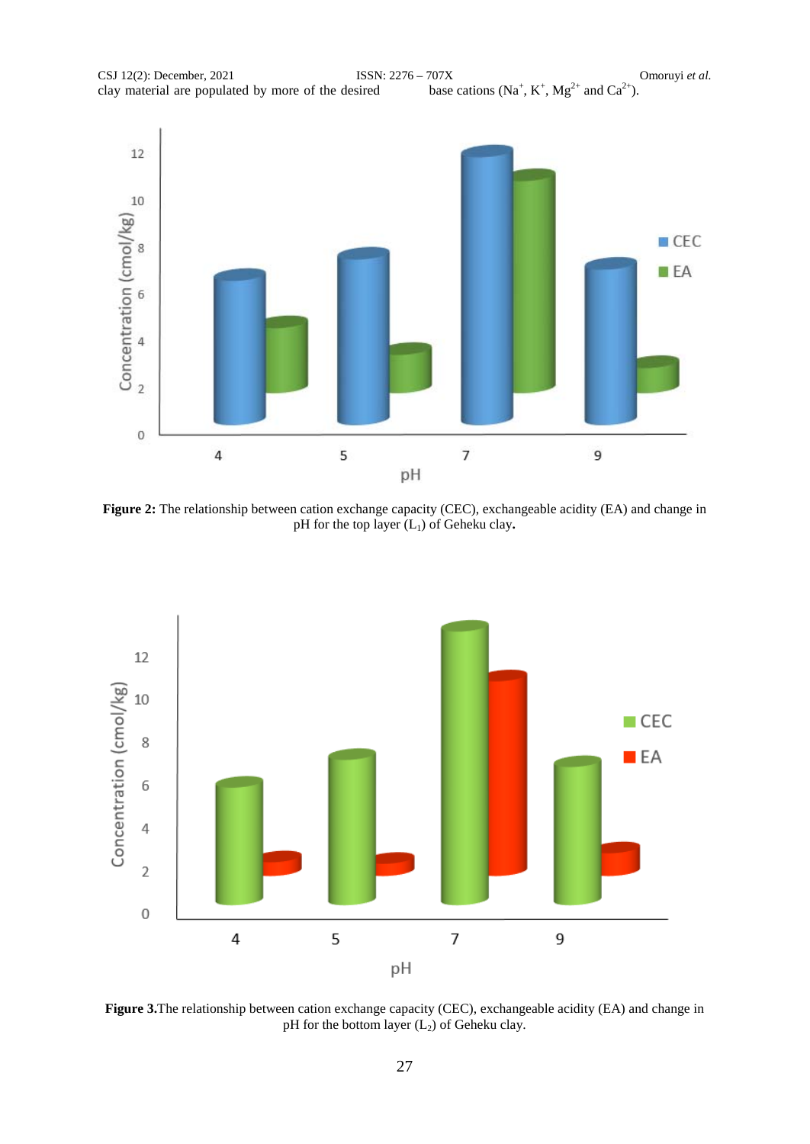

**Figure 2:** The relationship between cation exchange capacity (CEC), exchangeable acidity (EA) and change in pH for the top layer (L1) of Geheku clay**.**



**Figure 3.**The relationship between cation exchange capacity (CEC), exchangeable acidity (EA) and change in pH for the bottom layer  $(L<sub>2</sub>)$  of Geheku clay.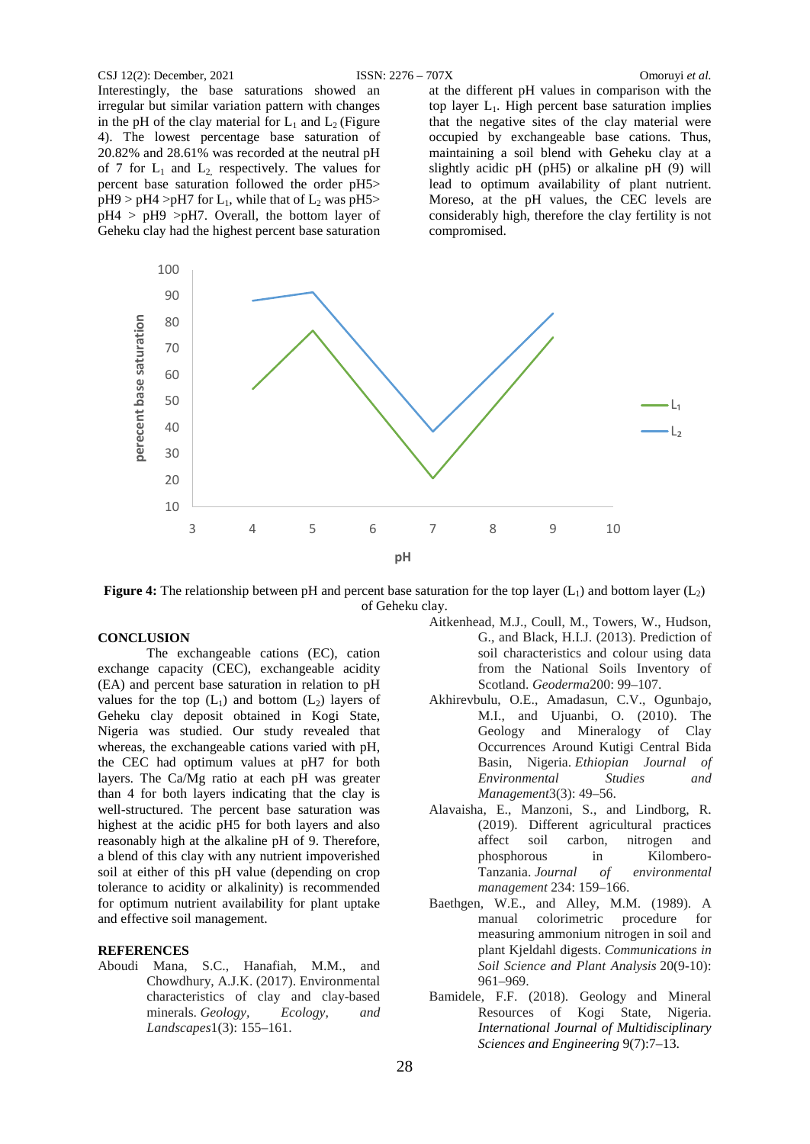#### CSJ 12(2): December, 2021 ISSN: 2276 – 707X Omoruyi *et al.*

Interestingly, the base saturations showed an irregular but similar variation pattern with changes in the pH of the clay material for  $L_1$  and  $L_2$  (Figure 4). The lowest percentage base saturation of 20.82% and 28.61% was recorded at the neutral pH of 7 for  $L_1$  and  $L_2$  respectively. The values for percent base saturation followed the order pH5>  $pH9 > pH4 > pH7$  for  $L_1$ , while that of  $L_2$  was  $pH5 >$  $pH4$  >  $pH9$  > $pH7$ . Overall, the bottom layer of Geheku clay had the highest percent base saturation

at the different pH values in comparison with the top layer  $L_1$ . High percent base saturation implies that the negative sites of the clay material were occupied by exchangeable base cations. Thus, maintaining a soil blend with Geheku clay at a slightly acidic pH (pH5) or alkaline pH (9) will lead to optimum availability of plant nutrient. Moreso, at the pH values, the CEC levels are considerably high, therefore the clay fertility is not compromised.



**Figure 4:** The relationship between pH and percent base saturation for the top layer  $(L_1)$  and bottom layer  $(L_2)$ of Geheku clay.

## **CONCLUSION**

The exchangeable cations (EC), cation exchange capacity (CEC), exchangeable acidity (EA) and percent base saturation in relation to pH values for the top  $(L_1)$  and bottom  $(L_2)$  layers of Geheku clay deposit obtained in Kogi State, Nigeria was studied. Our study revealed that whereas, the exchangeable cations varied with pH, the CEC had optimum values at pH7 for both layers. The Ca/Mg ratio at each pH was greater than 4 for both layers indicating that the clay is well-structured. The percent base saturation was highest at the acidic pH5 for both layers and also reasonably high at the alkaline pH of 9. Therefore, a blend of this clay with any nutrient impoverished soil at either of this pH value (depending on crop tolerance to acidity or alkalinity) is recommended for optimum nutrient availability for plant uptake and effective soil management.

#### **REFERENCES**

Aboudi Mana, S.C., Hanafiah, M.M., and Chowdhury, A.J.K. (2017). Environmental characteristics of clay and clay-based minerals. *Geology, Ecology, and Landscapes*1(3): 155–161.

- Aitkenhead, M.J., Coull, M., Towers, W., Hudson, G., and Black, H.I.J. (2013). Prediction of soil characteristics and colour using data from the National Soils Inventory of Scotland. *Geoderma*200: 99–107.
- Akhirevbulu, O.E., Amadasun, C.V., Ogunbajo, M.I., and Ujuanbi, O. (2010). The Geology and Mineralogy of Clay Occurrences Around Kutigi Central Bida Basin, Nigeria. *Ethiopian Journal of Environmental Studies and Management*3(3): 49–56.
- Alavaisha, E., Manzoni, S., and Lindborg, R. (2019). Different agricultural practices affect soil carbon, nitrogen and phosphorous in Kilombero-Tanzania. *Journal of environmental management* 234: 159–166.
- Baethgen, W.E., and Alley, M.M. (1989). A manual colorimetric procedure for measuring ammonium nitrogen in soil and plant Kjeldahl digests. *Communications in Soil Science and Plant Analysis* 20(9-10): 961–969.
- Bamidele, F.F. (2018). Geology and Mineral Resources of Kogi State, Nigeria. *International Journal of Multidisciplinary Sciences and Engineering* 9(7):7–13.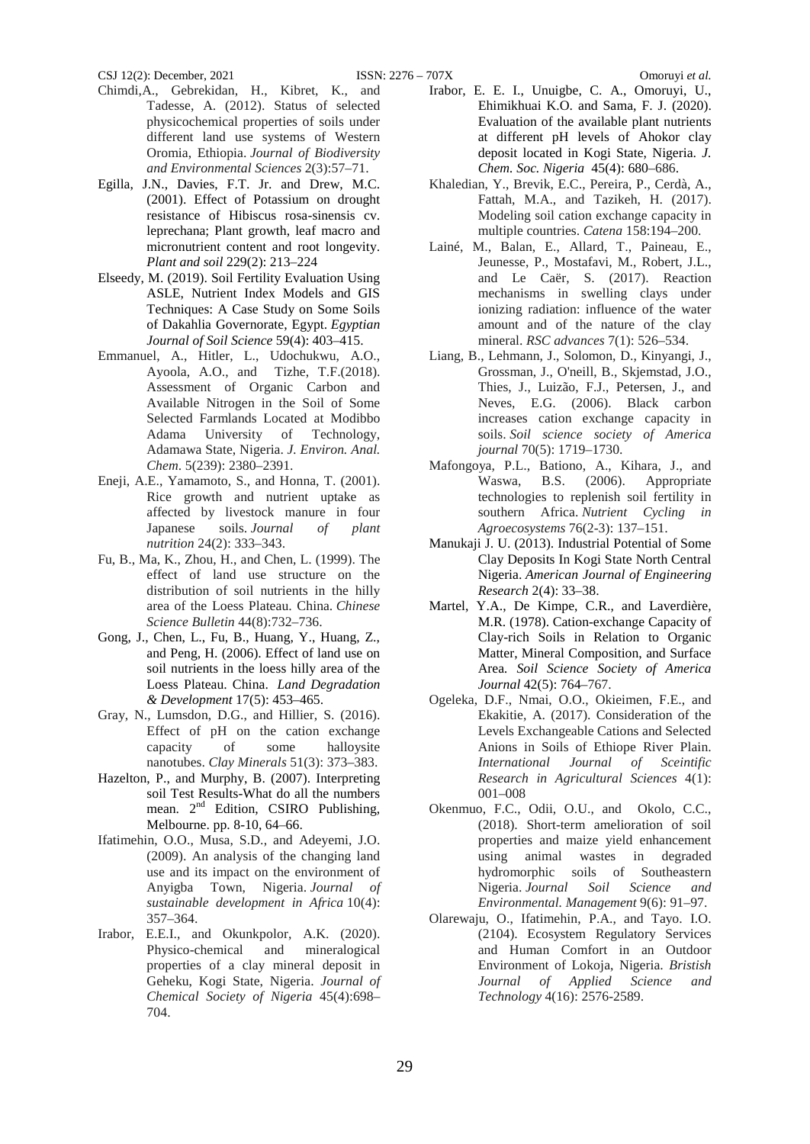- Chimdi,A., Gebrekidan, H., Kibret, K., and Tadesse, A. (2012). Status of selected physicochemical properties of soils under different land use systems of Western Oromia, Ethiopia. *Journal of Biodiversity and Environmental Sciences* 2(3):57–71.
- Egilla, J.N., Davies, F.T. Jr. and Drew, M.C. (2001). Effect of Potassium on drought resistance of Hibiscus rosa-sinensis cv. leprechana; Plant growth, leaf macro and micronutrient content and root longevity. *Plant and soil* 229(2): 213–224
- Elseedy, M. (2019). Soil Fertility Evaluation Using ASLE, Nutrient Index Models and GIS Techniques: A Case Study on Some Soils of Dakahlia Governorate, Egypt. *Egyptian Journal of Soil Science* 59(4): 403–415.
- Emmanuel, A., Hitler, L., Udochukwu, A.O., Ayoola, A.O., and Tizhe, T.F.(2018). Assessment of Organic Carbon and Available Nitrogen in the Soil of Some Selected Farmlands Located at Modibbo Adama University of Technology, Adamawa State, Nigeria. *J. Environ. Anal. Chem*. 5(239): 2380–2391.
- Eneji, A.E., Yamamoto, S., and Honna, T. (2001). Rice growth and nutrient uptake as affected by livestock manure in four Japanese soils. *Journal of plant nutrition* 24(2): 333–343.
- Fu, B., Ma, K., Zhou, H., and Chen, L. (1999). The effect of land use structure on the distribution of soil nutrients in the hilly area of the Loess Plateau. China. *Chinese Science Bulletin* 44(8):732–736.
- Gong, J., Chen, L., Fu, B., Huang, Y., Huang, Z., and Peng, H. (2006). Effect of land use on soil nutrients in the loess hilly area of the Loess Plateau. China. *Land Degradation & Development* 17(5): 453–465.
- Gray, N., Lumsdon, D.G., and Hillier, S. (2016). Effect of pH on the cation exchange capacity of some halloysite nanotubes. *Clay Minerals* 51(3): 373–383.
- Hazelton, P., and Murphy, B. (2007). Interpreting soil Test Results-What do all the numbers mean. 2<sup>nd</sup> Edition, CSIRO Publishing, Melbourne. pp. 8-10, 64–66.
- Ifatimehin, O.O., Musa, S.D., and Adeyemi, J.O. (2009). An analysis of the changing land use and its impact on the environment of Anyigba Town, Nigeria. *Journal of sustainable development in Africa* 10(4): 357–364.
- Irabor, E.E.I., and Okunkpolor, A.K. (2020). Physico-chemical and mineralogical properties of a clay mineral deposit in Geheku, Kogi State, Nigeria. *Journal of Chemical Society of Nigeria* 45(4):698– 704.
- Irabor, E. E. I., Unuigbe, C. A., Omoruyi, U., Ehimikhuai K.O. and Sama, F. J. (2020). Evaluation of the available plant nutrients at different pH levels of Ahokor clay deposit located in Kogi State, Nigeria. *J.*
- *Chem. Soc. Nigeria* 45(4): 680–686. Khaledian, Y., Brevik, E.C., Pereira, P., Cerdà, A., Fattah, M.A., and Tazikeh, H. (2017). Modeling soil cation exchange capacity in multiple countries. *Catena* 158:194–200.
- Lainé, M., Balan, E., Allard, T., Paineau, E., Jeunesse, P., Mostafavi, M., Robert, J.L., and Le Caër, S. (2017). Reaction mechanisms in swelling clays under ionizing radiation: influence of the water amount and of the nature of the clay mineral. *RSC advances* 7(1): 526–534.
- Liang, B., Lehmann, J., Solomon, D., Kinyangi, J., Grossman, J., O'neill, B., Skjemstad, J.O., Thies, J., Luizão, F.J., Petersen, J., and Neves, E.G. (2006). Black carbon increases cation exchange capacity in soils. *Soil science society of America journal* 70(5): 1719–1730.
- Mafongoya, P.L., Bationo, A., Kihara, J., and B.S. (2006). Appropriate technologies to replenish soil fertility in southern Africa. *Nutrient Cycling in Agroecosystems* 76(2-3): 137–151.
- Manukaji J. U. (2013). Industrial Potential of Some Clay Deposits In Kogi State North Central Nigeria. *American Journal of Engineering Research* 2(4): 33–38.
- Martel, Y.A., De Kimpe, C.R., and Laverdière, M.R. (1978). Cation-exchange Capacity of Clay-rich Soils in Relation to Organic Matter, Mineral Composition, and Surface Area*. Soil Science Society of America Journal* 42(5): 764–767.
- Ogeleka, D.F., Nmai, O.O., Okieimen, F.E., and Ekakitie, A. (2017). Consideration of the Levels Exchangeable Cations and Selected Anions in Soils of Ethiope River Plain. *International Journal of Sceintific Research in Agricultural Sciences* 4(1): 001–008
- Okenmuo, F.C., Odii, O.U., and Okolo, C.C., (2018). Short-term amelioration of soil properties and maize yield enhancement using animal wastes in degraded hydromorphic soils of Southeastern Nigeria. *Journal Soil Science and Environmental. Management* 9(6): 91–97.
- Olarewaju, O., Ifatimehin, P.A., and Tayo. I.O. (2104). Ecosystem Regulatory Services and Human Comfort in an Outdoor Environment of Lokoja, Nigeria. *Bristish Journal of Applied Science and Technology* 4(16): 2576-2589.